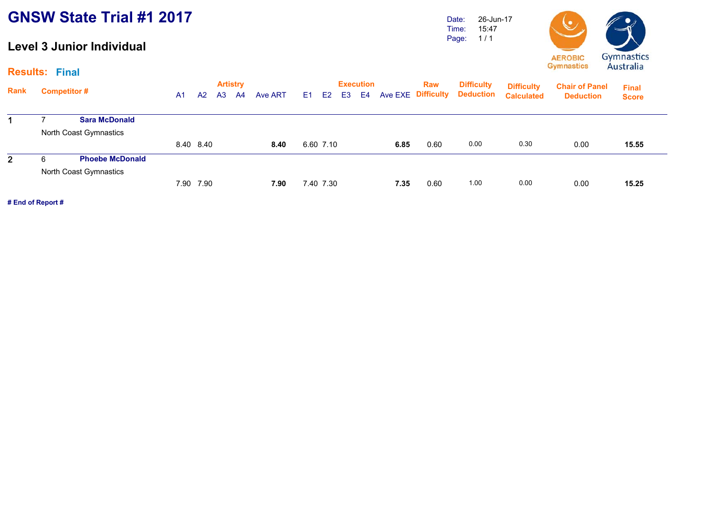#### **Level 3 Junior Individual**

Date: Time: Page: 26-Jun-17 15:47 1 / 1



#### **Results: Final**

| Rank         |   | <b>Competitor#</b>     | A <sub>1</sub> | A <sup>2</sup> | A <sub>3</sub> | <b>Artistry</b><br>A4 | Ave ART | E <sub>1</sub> | E <sub>2</sub> | E3 | <b>Execution</b><br>E4 |      | Raw<br>Ave EXE Difficulty | <b>Difficulty</b><br><b>Deduction</b> | <b>Difficulty</b><br><b>Calculated</b> | <b>Chair of Panel</b><br><b>Deduction</b> | <b>Final</b><br><b>Score</b> |
|--------------|---|------------------------|----------------|----------------|----------------|-----------------------|---------|----------------|----------------|----|------------------------|------|---------------------------|---------------------------------------|----------------------------------------|-------------------------------------------|------------------------------|
|              |   | <b>Sara McDonald</b>   |                |                |                |                       |         |                |                |    |                        |      |                           |                                       |                                        |                                           |                              |
|              |   | North Coast Gymnastics |                |                |                |                       |         |                |                |    |                        |      |                           |                                       |                                        |                                           |                              |
|              |   |                        |                | 8.40 8.40      |                |                       | 8.40    |                | 6.60 7.10      |    |                        | 6.85 | 0.60                      | 0.00                                  | 0.30                                   | 0.00                                      | 15.55                        |
| $\mathbf{2}$ | 6 | <b>Phoebe McDonald</b> |                |                |                |                       |         |                |                |    |                        |      |                           |                                       |                                        |                                           |                              |
|              |   | North Coast Gymnastics |                |                |                |                       |         |                |                |    |                        |      |                           |                                       |                                        |                                           |                              |
|              |   |                        | 7.90           | 7.90           |                |                       | 7.90    |                | 7.40 7.30      |    |                        | 7.35 | 0.60                      | 1.00                                  | 0.00                                   | 0.00                                      | 15.25                        |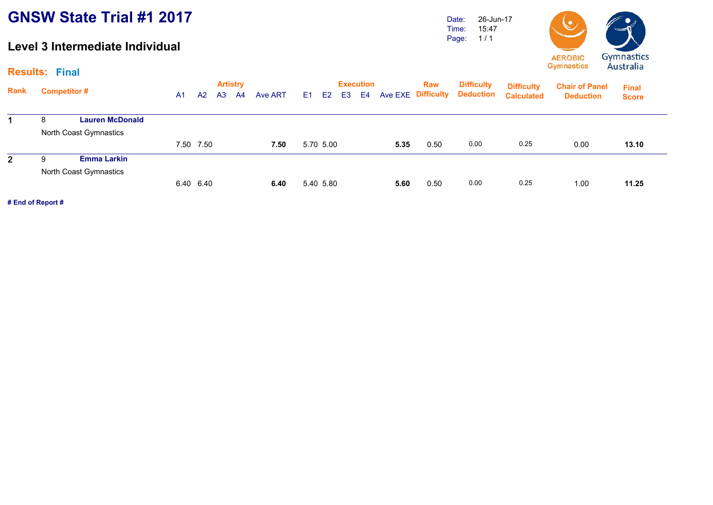#### **Level 3 Intermediate Individual**

Date: Time: Page: 26-Jun-17 15:47 1 / 1



|              | <b>Results: Final</b>       |                |           |                |                       |         |      |                |                |                        |      |                                  |                                       |                                        |                                           | 1143114114                   |
|--------------|-----------------------------|----------------|-----------|----------------|-----------------------|---------|------|----------------|----------------|------------------------|------|----------------------------------|---------------------------------------|----------------------------------------|-------------------------------------------|------------------------------|
| <b>Rank</b>  | <b>Competitor#</b>          | A <sub>1</sub> | A2        | A <sub>3</sub> | <b>Artistry</b><br>A4 | Ave ART | E1 = | E <sub>2</sub> | E <sub>3</sub> | <b>Execution</b><br>E4 |      | <b>Raw</b><br>Ave EXE Difficulty | <b>Difficulty</b><br><b>Deduction</b> | <b>Difficulty</b><br><b>Calculated</b> | <b>Chair of Panel</b><br><b>Deduction</b> | <b>Final</b><br><b>Score</b> |
| 1            | <b>Lauren McDonald</b><br>8 |                |           |                |                       |         |      |                |                |                        |      |                                  |                                       |                                        |                                           |                              |
|              | North Coast Gymnastics      |                |           |                |                       |         |      |                |                |                        |      |                                  |                                       |                                        |                                           |                              |
|              |                             |                | 7.50 7.50 |                |                       | 7.50    |      | 5.70 5.00      |                |                        | 5.35 | 0.50                             | 0.00                                  | 0.25                                   | 0.00                                      | 13.10                        |
| $\mathbf{2}$ | <b>Emma Larkin</b><br>9     |                |           |                |                       |         |      |                |                |                        |      |                                  |                                       |                                        |                                           |                              |
|              | North Coast Gymnastics      |                |           |                |                       |         |      |                |                |                        |      |                                  |                                       |                                        |                                           |                              |
|              |                             |                | 6.40 6.40 |                |                       | 6.40    |      | 5.40 5.80      |                |                        | 5.60 | 0.50                             | 0.00                                  | 0.25                                   | 1.00                                      | 11.25                        |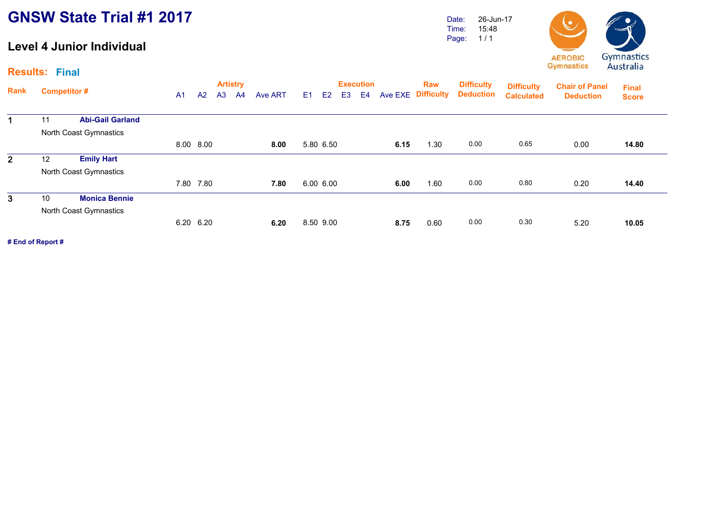#### **Level 4 Junior Individual**

Date: Time: Page: 26-Jun-17 15:48 1 / 1



#### **Results: Final**

| <b>Rank</b>    | <b>Competitor#</b> |                         | A <sub>1</sub> | A2        | <b>Artistry</b><br>A3 | A <sup>4</sup> | Ave ART | E <sub>1</sub> | E2        | E <sub>3</sub> | <b>Execution</b><br>E4 | Ave EXE | Raw<br><b>Difficulty</b> | <b>Difficulty</b><br><b>Deduction</b> | <b>Difficulty</b><br><b>Calculated</b> | <b>Chair of Panel</b><br><b>Deduction</b> | <b>Final</b><br><b>Score</b> |
|----------------|--------------------|-------------------------|----------------|-----------|-----------------------|----------------|---------|----------------|-----------|----------------|------------------------|---------|--------------------------|---------------------------------------|----------------------------------------|-------------------------------------------|------------------------------|
|                | 11                 | <b>Abi-Gail Garland</b> |                |           |                       |                |         |                |           |                |                        |         |                          |                                       |                                        |                                           |                              |
|                |                    | North Coast Gymnastics  |                |           |                       |                |         |                |           |                |                        |         |                          |                                       |                                        |                                           |                              |
|                |                    |                         |                | 8.00 8.00 |                       |                | 8.00    |                | 5.80 6.50 |                |                        | 6.15    | 1.30                     | 0.00                                  | 0.65                                   | 0.00                                      | 14.80                        |
| 2 <sup>1</sup> | 12                 | <b>Emily Hart</b>       |                |           |                       |                |         |                |           |                |                        |         |                          |                                       |                                        |                                           |                              |
|                |                    | North Coast Gymnastics  |                |           |                       |                |         |                |           |                |                        |         |                          |                                       |                                        |                                           |                              |
|                |                    |                         |                | 7.80 7.80 |                       |                | 7.80    |                | 6.00 6.00 |                |                        | 6.00    | 1.60                     | 0.00                                  | 0.80                                   | 0.20                                      | 14.40                        |
| 3              | 10                 | <b>Monica Bennie</b>    |                |           |                       |                |         |                |           |                |                        |         |                          |                                       |                                        |                                           |                              |
|                |                    | North Coast Gymnastics  |                |           |                       |                |         |                |           |                |                        |         |                          |                                       |                                        |                                           |                              |
|                |                    |                         |                | 6.20 6.20 |                       |                | 6.20    |                | 8.50 9.00 |                |                        | 8.75    | 0.60                     | 0.00                                  | 0.30                                   | 5.20                                      | 10.05                        |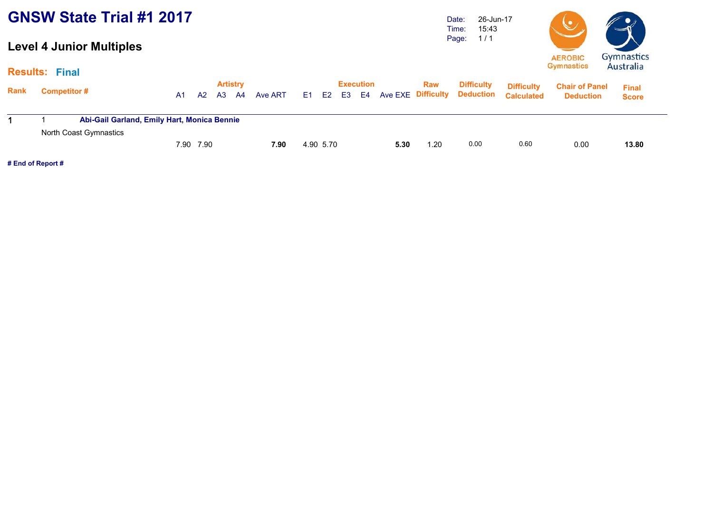### **Level 4 Junior Multiples**

Date: Time: Page: 26-Jun-17 15:43 1 / 1



#### **Results:Final**

|      | Results. Filidi     |                                             |    |           |                       |    |         |           |  |                  |      |      |                   |                                                                 |                                           |                              |  |
|------|---------------------|---------------------------------------------|----|-----------|-----------------------|----|---------|-----------|--|------------------|------|------|-------------------|-----------------------------------------------------------------|-------------------------------------------|------------------------------|--|
| Rank | <b>Competitor #</b> |                                             | A1 | <b>A2</b> | <b>Artistry</b><br>A3 | A4 | Ave ART | E1 E2 E3  |  | <b>Execution</b> |      | Raw  | <b>Difficulty</b> | <b>Difficulty</b><br>E4 Ave EXE Difficulty Deduction Calculated | <b>Chair of Panel</b><br><b>Deduction</b> | <b>Final</b><br><b>Score</b> |  |
|      |                     | Abi-Gail Garland, Emily Hart, Monica Bennie |    |           |                       |    |         |           |  |                  |      |      |                   |                                                                 |                                           |                              |  |
|      |                     | North Coast Gymnastics                      |    |           |                       |    |         |           |  |                  |      |      |                   |                                                                 |                                           |                              |  |
|      |                     |                                             |    | 7.90 7.90 |                       |    | 7.90    | 4.90 5.70 |  |                  | 5.30 | 1.20 | 0.00              | 0.60                                                            | 0.00                                      | 13.80                        |  |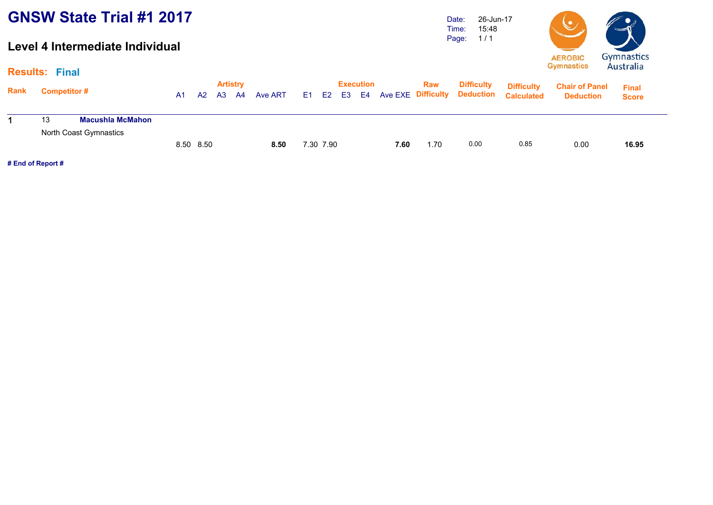#### **Level 4 Intermediate Individual**

Date: Time: Page: 26-Jun-17 15:48 1 / 1



| <b>Results:</b> | <b>Final</b>                                            |                |           |    |                       |         |           |                           |      |            |                                                          |                                        | Gymnasucs                                 | Australia                    |
|-----------------|---------------------------------------------------------|----------------|-----------|----|-----------------------|---------|-----------|---------------------------|------|------------|----------------------------------------------------------|----------------------------------------|-------------------------------------------|------------------------------|
| Rank            | <b>Competitor#</b>                                      | A <sub>1</sub> | A2        | A3 | <b>Artistry</b><br>A4 | Ave ART | E1 E2     | <b>Execution</b><br>E3 E4 |      | <b>Raw</b> | <b>Difficulty</b><br><b>Ave EXE Difficulty Deduction</b> | <b>Difficulty</b><br><b>Calculated</b> | <b>Chair of Panel</b><br><b>Deduction</b> | <b>Final</b><br><b>Score</b> |
|                 | 13<br><b>Macushla McMahon</b><br>North Coast Gymnastics |                | 8.50 8.50 |    |                       | 8.50    | 7.30 7.90 |                           | 7.60 | 1.70       | 0.00                                                     | 0.85                                   | 0.00                                      | 16.95                        |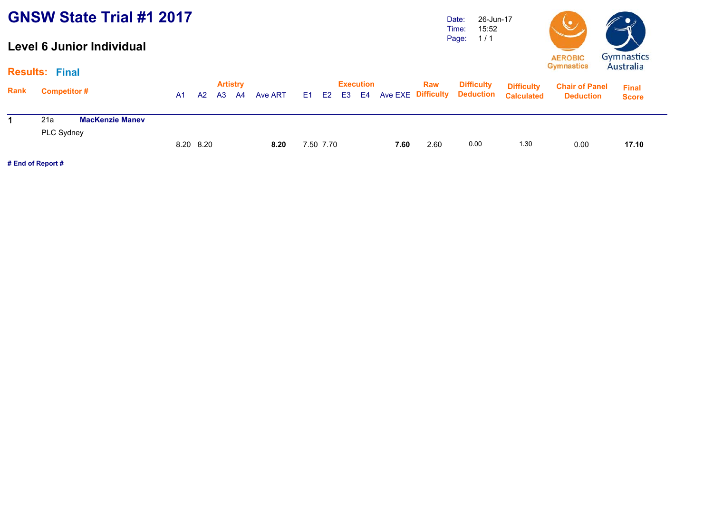#### **Level 6 Junior Individual**

Date: Time: Page: 26-Jun-17 15:52 1 / 1



|      | <b>Results: Final</b>         |                |           |    |                       |         |    |           |       |                  |      |      |                                                          |                                        | Gymnasucs                                 | Australia                    |
|------|-------------------------------|----------------|-----------|----|-----------------------|---------|----|-----------|-------|------------------|------|------|----------------------------------------------------------|----------------------------------------|-------------------------------------------|------------------------------|
| Rank | Competitor #                  | A <sub>1</sub> | A2        | A3 | <b>Artistry</b><br>A4 | Ave ART | E1 | E2        | E3 E4 | <b>Execution</b> |      | Raw  | <b>Difficulty</b><br><b>Ave EXE Difficulty Deduction</b> | <b>Difficulty</b><br><b>Calculated</b> | <b>Chair of Panel</b><br><b>Deduction</b> | <b>Final</b><br><b>Score</b> |
|      | 21a<br><b>MacKenzie Manev</b> |                |           |    |                       |         |    |           |       |                  |      |      |                                                          |                                        |                                           |                              |
|      | PLC Sydney                    |                | 8.20 8.20 |    |                       | 8.20    |    | 7.50 7.70 |       |                  | 7.60 | 2.60 | 0.00                                                     | 1.30                                   | 0.00                                      | 17.10                        |
| .    |                               |                |           |    |                       |         |    |           |       |                  |      |      |                                                          |                                        |                                           |                              |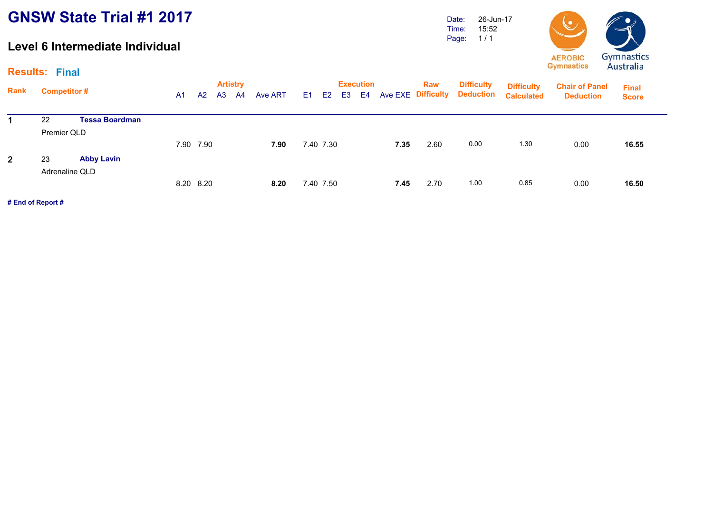#### **Level 6 Intermediate Individual**

Date: Time: Page: 26-Jun-17 15:52 1 / 1



|              | <b>Results: Final</b> |                       |    |           |    |                       |         |    |                |    |                        |                    |      |                   |                                                  |                                           | 110211                       |
|--------------|-----------------------|-----------------------|----|-----------|----|-----------------------|---------|----|----------------|----|------------------------|--------------------|------|-------------------|--------------------------------------------------|-------------------------------------------|------------------------------|
| <b>Rank</b>  | Competitor #          |                       | A1 | A2        | A3 | <b>Artistry</b><br>A4 | Ave ART | E1 | E <sub>2</sub> | E3 | <b>Execution</b><br>E4 | Ave EXE Difficulty | Raw  | <b>Difficulty</b> | <b>Difficulty</b><br><b>Deduction Calculated</b> | <b>Chair of Panel</b><br><b>Deduction</b> | <b>Final</b><br><b>Score</b> |
|              | 22                    | <b>Tessa Boardman</b> |    |           |    |                       |         |    |                |    |                        |                    |      |                   |                                                  |                                           |                              |
|              | Premier QLD           |                       |    |           |    |                       |         |    |                |    |                        |                    |      |                   |                                                  |                                           |                              |
|              |                       |                       |    | 7.90 7.90 |    |                       | 7.90    |    | 7.40 7.30      |    |                        | 7.35               | 2.60 | 0.00              | 1.30                                             | 0.00                                      | 16.55                        |
| $\mathbf{2}$ | 23                    | <b>Abby Lavin</b>     |    |           |    |                       |         |    |                |    |                        |                    |      |                   |                                                  |                                           |                              |
|              |                       | Adrenaline QLD        |    |           |    |                       |         |    |                |    |                        |                    |      |                   |                                                  |                                           |                              |
|              |                       |                       |    | 8.20 8.20 |    |                       | 8.20    |    | 7.40 7.50      |    |                        | 7.45               | 2.70 | 1.00              | 0.85                                             | 0.00                                      | 16.50                        |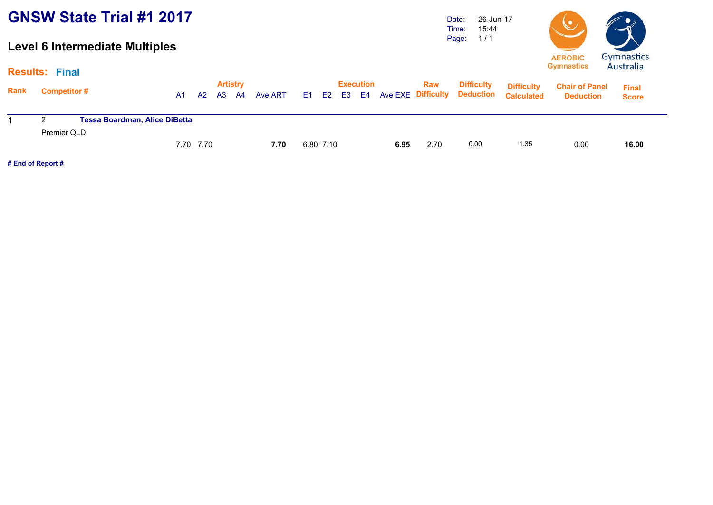# **Level 6 Intermediate Multiples**

Date: Time: Page: 26-Jun-17 15:44 1 / 1



16.00

|                   | <b>Results: Final</b> |                                      |           |    |                |                       |         |             |                  |      |            |                                                   |                                        | Gymnasucs                                 | Australia                    |
|-------------------|-----------------------|--------------------------------------|-----------|----|----------------|-----------------------|---------|-------------|------------------|------|------------|---------------------------------------------------|----------------------------------------|-------------------------------------------|------------------------------|
| <b>Rank</b>       | <b>Competitor #</b>   |                                      | A1        | A2 | A <sub>3</sub> | <b>Artistry</b><br>A4 | Ave ART | E1 E2 E3 E4 | <b>Execution</b> |      | <b>Raw</b> | <b>Difficulty</b><br>Ave EXE Difficulty Deduction | <b>Difficulty</b><br><b>Calculated</b> | <b>Chair of Panel</b><br><b>Deduction</b> | <b>Final</b><br><b>Score</b> |
|                   |                       | <b>Tessa Boardman, Alice DiBetta</b> |           |    |                |                       |         |             |                  |      |            |                                                   |                                        |                                           |                              |
|                   | Premier QLD           |                                      |           |    |                |                       |         |             |                  |      |            |                                                   |                                        |                                           |                              |
|                   |                       |                                      | 7.70 7.70 |    |                |                       | 7.70    | 6.80 7.10   |                  | 6.95 | 2.70       | 0.00                                              | 1.35                                   | 0.00                                      | 16.00                        |
| # End of Report # |                       |                                      |           |    |                |                       |         |             |                  |      |            |                                                   |                                        |                                           |                              |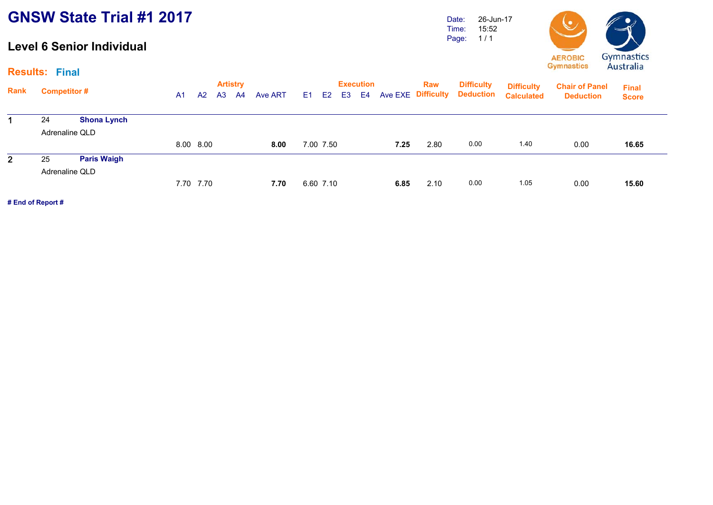#### **Level 6 Senior Individual**

Date: Time: Page: 26-Jun-17 15:52 1 / 1



|              | <b>Results: Final</b> |                     |                |           |                |                       |         |           |    |                               |      |      |                                                   |                                        |                                           | 110211                       |
|--------------|-----------------------|---------------------|----------------|-----------|----------------|-----------------------|---------|-----------|----|-------------------------------|------|------|---------------------------------------------------|----------------------------------------|-------------------------------------------|------------------------------|
| <b>Rank</b>  |                       | <b>Competitor #</b> | A <sub>1</sub> | A2        | A <sub>3</sub> | <b>Artistry</b><br>A4 | Ave ART | E1 E2     | E3 | <b>Execution</b><br><b>E4</b> |      | Raw  | <b>Difficulty</b><br>Ave EXE Difficulty Deduction | <b>Difficulty</b><br><b>Calculated</b> | <b>Chair of Panel</b><br><b>Deduction</b> | <b>Final</b><br><b>Score</b> |
|              | 24                    | <b>Shona Lynch</b>  |                |           |                |                       |         |           |    |                               |      |      |                                                   |                                        |                                           |                              |
|              |                       | Adrenaline QLD      |                |           |                |                       |         |           |    |                               |      |      |                                                   |                                        |                                           |                              |
|              |                       |                     |                | 8.00 8.00 |                |                       | 8.00    | 7.00 7.50 |    |                               | 7.25 | 2.80 | 0.00                                              | 1.40                                   | 0.00                                      | 16.65                        |
| $\mathbf{2}$ | 25                    | <b>Paris Waigh</b>  |                |           |                |                       |         |           |    |                               |      |      |                                                   |                                        |                                           |                              |
|              |                       | Adrenaline QLD      |                |           |                |                       |         |           |    |                               |      |      |                                                   |                                        |                                           |                              |
|              |                       |                     |                | 7.70 7.70 |                |                       | 7.70    | 6.60 7.10 |    |                               | 6.85 | 2.10 | 0.00                                              | 1.05                                   | 0.00                                      | 15.60                        |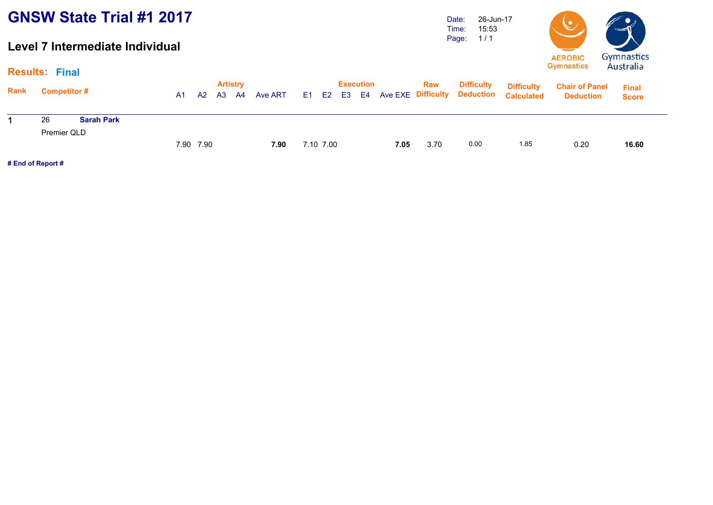#### **Level 7 Intermediate Individual**

Date: Time: Page: 26-Jun-17 15:53 1 / 1



|             | <b>Results: Final</b>                  |    |           |       |                 |         |           |                  |      |      |                                                               |                                        | Gymnastics                                | Australia                    |
|-------------|----------------------------------------|----|-----------|-------|-----------------|---------|-----------|------------------|------|------|---------------------------------------------------------------|----------------------------------------|-------------------------------------------|------------------------------|
| <b>Rank</b> | Competitor #                           | A1 | A2        | A3 A4 | <b>Artistry</b> | Ave ART |           | <b>Execution</b> |      | Raw  | <b>Difficulty</b><br>E1 E2 E3 E4 Ave EXE Difficulty Deduction | <b>Difficulty</b><br><b>Calculated</b> | <b>Chair of Panel</b><br><b>Deduction</b> | <b>Final</b><br><b>Score</b> |
|             | 26<br><b>Sarah Park</b><br>Premier QLD |    | 7.90 7.90 |       |                 |         | 7.10 7.00 |                  |      | 3.70 | 0.00                                                          | 1.85                                   | 0.20                                      |                              |
|             |                                        |    |           |       |                 | 7.90    |           |                  | 7.05 |      |                                                               |                                        |                                           | 16.60                        |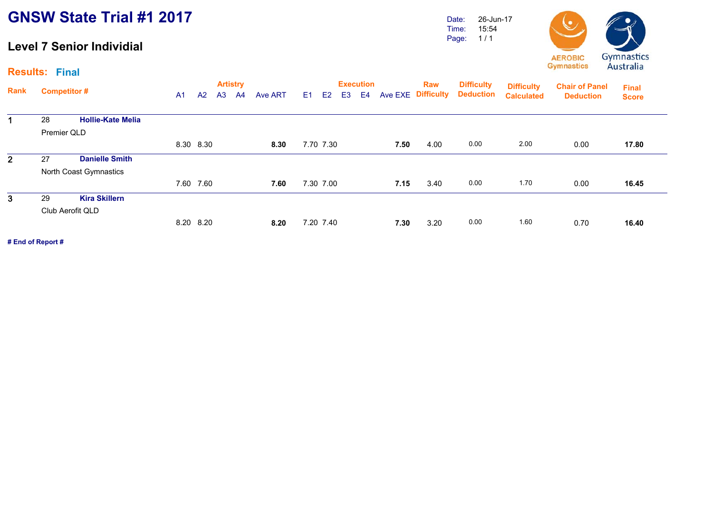#### **Level 7 Senior Individial**

Date: Time: Page: 26-Jun-17 15:54 1 / 1



|                | <b>Results: Final</b> |                          |                |                |                |                       |         |     |                |                |                        |         |                                 |                                       |                                        |                                           |                              |
|----------------|-----------------------|--------------------------|----------------|----------------|----------------|-----------------------|---------|-----|----------------|----------------|------------------------|---------|---------------------------------|---------------------------------------|----------------------------------------|-------------------------------------------|------------------------------|
| Rank           | <b>Competitor#</b>    |                          | A <sub>1</sub> | A <sup>2</sup> | A <sub>3</sub> | <b>Artistry</b><br>A4 | Ave ART | E1. | E <sub>2</sub> | E <sub>3</sub> | <b>Execution</b><br>E4 | Ave EXE | <b>Raw</b><br><b>Difficulty</b> | <b>Difficulty</b><br><b>Deduction</b> | <b>Difficulty</b><br><b>Calculated</b> | <b>Chair of Panel</b><br><b>Deduction</b> | <b>Final</b><br><b>Score</b> |
|                | 28                    | <b>Hollie-Kate Melia</b> |                |                |                |                       |         |     |                |                |                        |         |                                 |                                       |                                        |                                           |                              |
|                | Premier QLD           |                          |                |                |                |                       |         |     |                |                |                        |         |                                 |                                       |                                        |                                           |                              |
|                |                       |                          |                | 8.30 8.30      |                |                       | 8.30    |     | 7.70 7.30      |                |                        | 7.50    | 4.00                            | 0.00                                  | 2.00                                   | 0.00                                      | 17.80                        |
| $\overline{2}$ | 27                    | <b>Danielle Smith</b>    |                |                |                |                       |         |     |                |                |                        |         |                                 |                                       |                                        |                                           |                              |
|                |                       | North Coast Gymnastics   |                |                |                |                       |         |     |                |                |                        |         |                                 |                                       |                                        |                                           |                              |
|                |                       |                          | 7.60           | 7.60           |                |                       | 7.60    |     | 7.30 7.00      |                |                        | 7.15    | 3.40                            | 0.00                                  | 1.70                                   | 0.00                                      | 16.45                        |
| $\mathbf{3}$   | 29                    | <b>Kira Skillern</b>     |                |                |                |                       |         |     |                |                |                        |         |                                 |                                       |                                        |                                           |                              |
|                |                       | Club Aerofit QLD         |                |                |                |                       |         |     |                |                |                        |         |                                 |                                       |                                        |                                           |                              |
|                |                       |                          |                | 8.20 8.20      |                |                       | 8.20    |     | 7.20 7.40      |                |                        | 7.30    | 3.20                            | 0.00                                  | 1.60                                   | 0.70                                      | 16.40                        |
|                |                       |                          |                |                |                |                       |         |     |                |                |                        |         |                                 |                                       |                                        |                                           |                              |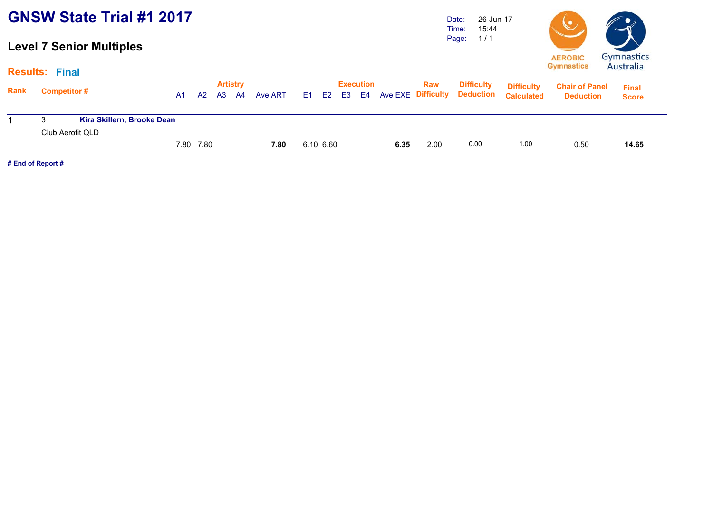### **Level 7 Senior Multiples**

Date: Time: Page: 26-Jun-17 15:44 1 / 1



|             | <b>Results: Final</b>                          |                |      |                       |    |         |      |           |                           |      |            |                                                          |                                        | Gymnasucs                                 | Australia                    |
|-------------|------------------------------------------------|----------------|------|-----------------------|----|---------|------|-----------|---------------------------|------|------------|----------------------------------------------------------|----------------------------------------|-------------------------------------------|------------------------------|
| <b>Rank</b> | <b>Competitor#</b>                             | A <sub>1</sub> | A2   | <b>Artistry</b><br>A3 | A4 | Ave ART | E1 = | E2        | <b>Execution</b><br>E3 E4 |      | <b>Raw</b> | <b>Difficulty</b><br><b>Ave EXE Difficulty Deduction</b> | <b>Difficulty</b><br><b>Calculated</b> | <b>Chair of Panel</b><br><b>Deduction</b> | <b>Final</b><br><b>Score</b> |
|             | Kira Skillern, Brooke Dean<br>Club Aerofit QLD | 7.80           | 7.80 |                       |    |         |      | 6.10 6.60 |                           |      | 2.00       | 0.00                                                     | 1.00                                   | 0.50                                      |                              |
|             |                                                |                |      |                       |    | 7.80    |      |           |                           | 6.35 |            |                                                          |                                        |                                           | 14.65                        |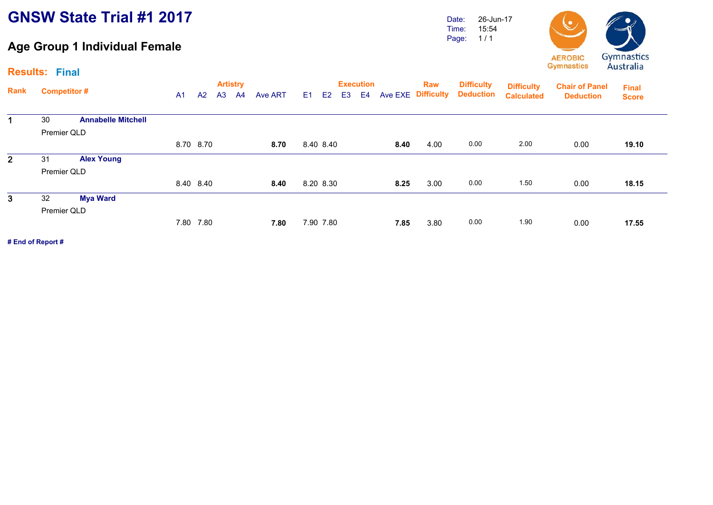### **Age Group 1 Individual Female**

Date: Time: Page: 26-Jun-17 15:54 1 / 1



|                | <b>Results: Final</b> |                           |                |           |                |                       |         |    |           |    |                        |      |                                  |                                       |                                        | . .                                       |                              |
|----------------|-----------------------|---------------------------|----------------|-----------|----------------|-----------------------|---------|----|-----------|----|------------------------|------|----------------------------------|---------------------------------------|----------------------------------------|-------------------------------------------|------------------------------|
| Rank           | <b>Competitor#</b>    |                           | A <sub>1</sub> | A2        | A <sub>3</sub> | <b>Artistry</b><br>A4 | Ave ART | E1 | E2        | E3 | <b>Execution</b><br>E4 |      | <b>Raw</b><br>Ave EXE Difficulty | <b>Difficulty</b><br><b>Deduction</b> | <b>Difficulty</b><br><b>Calculated</b> | <b>Chair of Panel</b><br><b>Deduction</b> | <b>Final</b><br><b>Score</b> |
| 1              | 30                    | <b>Annabelle Mitchell</b> |                |           |                |                       |         |    |           |    |                        |      |                                  |                                       |                                        |                                           |                              |
|                | Premier QLD           |                           |                |           |                |                       |         |    |           |    |                        |      |                                  |                                       |                                        |                                           |                              |
|                |                       |                           |                | 8.70 8.70 |                |                       | 8.70    |    | 8.40 8.40 |    |                        | 8.40 | 4.00                             | 0.00                                  | 2.00                                   | 0.00                                      | 19.10                        |
| $\overline{2}$ | 31                    | <b>Alex Young</b>         |                |           |                |                       |         |    |           |    |                        |      |                                  |                                       |                                        |                                           |                              |
|                | Premier QLD           |                           |                |           |                |                       |         |    |           |    |                        |      |                                  |                                       |                                        |                                           |                              |
|                |                       |                           |                | 8.40 8.40 |                |                       | 8.40    |    | 8.20 8.30 |    |                        | 8.25 | 3.00                             | 0.00                                  | 1.50                                   | 0.00                                      | 18.15                        |
| 3 <sup>2</sup> | 32                    | <b>Mya Ward</b>           |                |           |                |                       |         |    |           |    |                        |      |                                  |                                       |                                        |                                           |                              |
|                | Premier QLD           |                           |                |           |                |                       |         |    |           |    |                        |      |                                  |                                       |                                        |                                           |                              |
|                |                       |                           | 7.80           | 7.80      |                |                       | 7.80    |    | 7.90 7.80 |    |                        | 7.85 | 3.80                             | 0.00                                  | 1.90                                   | 0.00                                      | 17.55                        |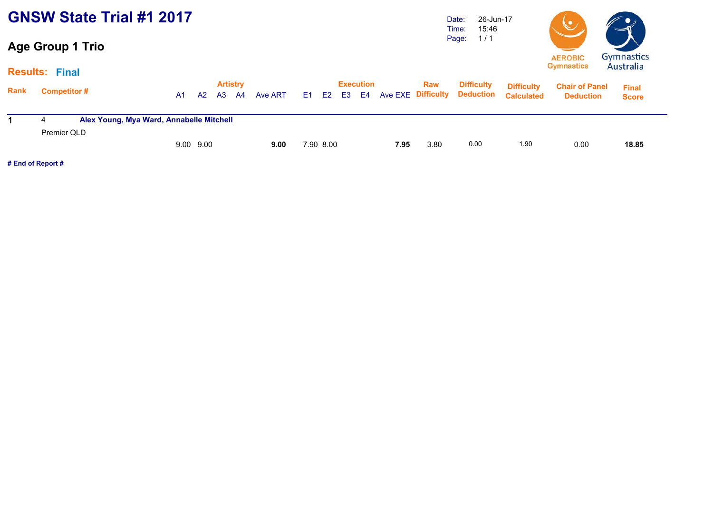|      | <b>GNSW State Trial #1 2017</b>                              | <b>Artistry</b><br><b>Execution</b><br>Ave EXE<br>E <sub>3</sub><br>E4<br>A <sup>2</sup><br>A <sub>3</sub><br>E1<br>E <sub>2</sub><br>A <sub>1</sub><br>A4<br>Ave ART |               |  |  |      |  |           |  |  |      |                                 |  |                                |                                        | V                                         | $\rightarrow$                  |
|------|--------------------------------------------------------------|-----------------------------------------------------------------------------------------------------------------------------------------------------------------------|---------------|--|--|------|--|-----------|--|--|------|---------------------------------|--|--------------------------------|----------------------------------------|-------------------------------------------|--------------------------------|
|      | <b>Age Group 1 Trio</b>                                      |                                                                                                                                                                       |               |  |  |      |  |           |  |  |      |                                 |  |                                |                                        |                                           |                                |
|      | <b>Results: Final</b>                                        |                                                                                                                                                                       |               |  |  |      |  |           |  |  |      |                                 |  |                                |                                        | <b>AEROBIC</b><br><b>Gymnastics</b>       | <b>Gymnastics</b><br>Australia |
| Rank | <b>Competitor #</b>                                          |                                                                                                                                                                       |               |  |  |      |  |           |  |  |      | <b>Raw</b><br><b>Difficulty</b> |  | <b>Difficulty</b><br>Deduction | <b>Difficulty</b><br><b>Calculated</b> | <b>Chair of Panel</b><br><b>Deduction</b> | <b>Final</b><br><b>Score</b>   |
|      | Alex Young, Mya Ward, Annabelle Mitchell<br>4<br>Premier QLD |                                                                                                                                                                       |               |  |  |      |  |           |  |  |      |                                 |  |                                |                                        |                                           |                                |
|      |                                                              |                                                                                                                                                                       | $9.00$ $9.00$ |  |  | 9.00 |  | 7.90 8.00 |  |  | 7.95 | 3.80                            |  | 0.00                           | 1.90                                   | 0.00                                      | 18.85                          |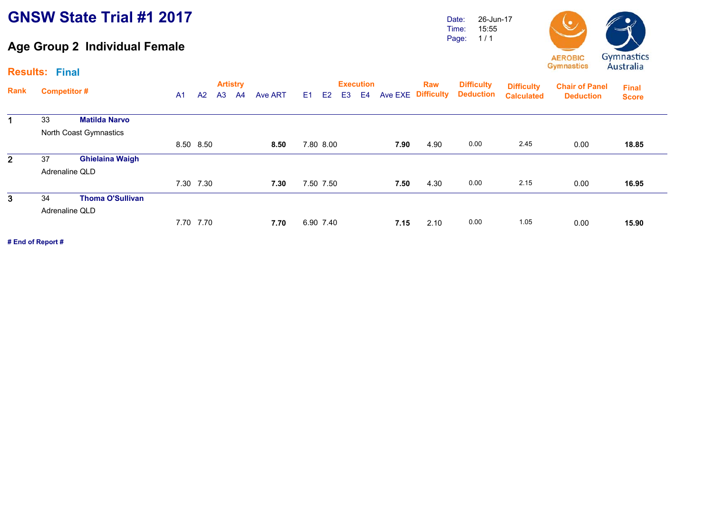# **Age Group 2 Individual Female**

Date: Time: Page: 26-Jun-17 15:55 1 / 1



|                | <b>Results: Final</b> |                                                |                |           |                |                                   |         |    |           |                |                                    |         |                          |                                       |                                        | . .                                       |                              |
|----------------|-----------------------|------------------------------------------------|----------------|-----------|----------------|-----------------------------------|---------|----|-----------|----------------|------------------------------------|---------|--------------------------|---------------------------------------|----------------------------------------|-------------------------------------------|------------------------------|
| Rank           | <b>Competitor#</b>    |                                                | A <sub>1</sub> | A2        | A <sub>3</sub> | <b>Artistry</b><br>A <sup>4</sup> | Ave ART | E1 | E2        | E <sub>3</sub> | <b>Execution</b><br>E <sub>4</sub> | Ave EXE | Raw<br><b>Difficulty</b> | <b>Difficulty</b><br><b>Deduction</b> | <b>Difficulty</b><br><b>Calculated</b> | <b>Chair of Panel</b><br><b>Deduction</b> | <b>Final</b><br><b>Score</b> |
| 1              | 33                    | <b>Matilda Narvo</b><br>North Coast Gymnastics |                |           |                |                                   |         |    |           |                |                                    |         |                          |                                       |                                        |                                           |                              |
|                |                       |                                                |                | 8.50 8.50 |                |                                   | 8.50    |    | 7.80 8.00 |                |                                    | 7.90    | 4.90                     | 0.00                                  | 2.45                                   | 0.00                                      | 18.85                        |
| 2 <sup>1</sup> | 37                    | <b>Ghielaina Waigh</b>                         |                |           |                |                                   |         |    |           |                |                                    |         |                          |                                       |                                        |                                           |                              |
|                |                       | Adrenaline QLD                                 |                |           |                |                                   |         |    |           |                |                                    |         |                          |                                       |                                        |                                           |                              |
|                |                       |                                                |                | 7.30 7.30 |                |                                   | 7.30    |    | 7.50 7.50 |                |                                    | 7.50    | 4.30                     | 0.00                                  | 2.15                                   | 0.00                                      | 16.95                        |
| 3              | 34                    | <b>Thoma O'Sullivan</b>                        |                |           |                |                                   |         |    |           |                |                                    |         |                          |                                       |                                        |                                           |                              |
|                |                       | Adrenaline QLD                                 |                |           |                |                                   |         |    |           |                |                                    |         |                          |                                       |                                        |                                           |                              |
|                |                       |                                                | 7.70           | 7.70      |                |                                   | 7.70    |    | 6.90 7.40 |                |                                    | 7.15    | 2.10                     | 0.00                                  | 1.05                                   | 0.00                                      | 15.90                        |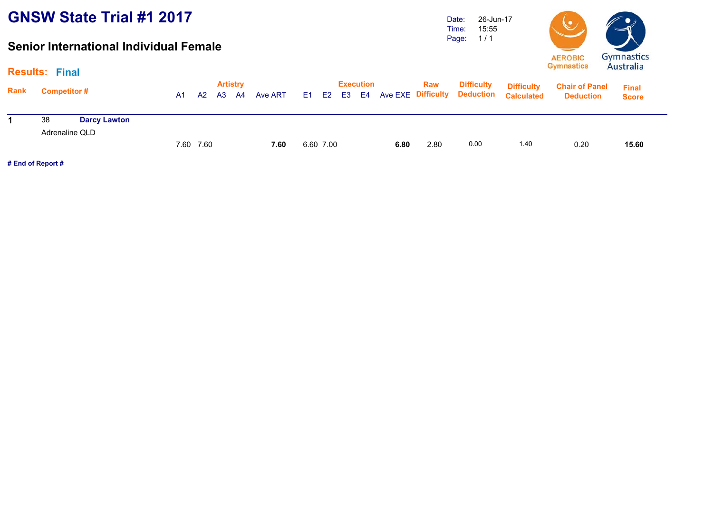#### **Senior International Individual Female**

Date: Time: Page: 26-Jun-17 15:55 1 / 1

6.60 7.00 **6.80** 2.80 0.00 1.40 0.20 **15.60**



**Final Score**

15.60

| <b>Results: Final</b>              |                     |     |  |                 |  |                  |  |     |                                                                      |                       |
|------------------------------------|---------------------|-----|--|-----------------|--|------------------|--|-----|----------------------------------------------------------------------|-----------------------|
| <b>Rank</b><br><b>Competitor #</b> |                     |     |  | <b>Artistry</b> |  | <b>Execution</b> |  | Raw | <b>Difficulty Difficulty</b>                                         | <b>Chair of Panel</b> |
|                                    |                     | A1. |  |                 |  |                  |  |     | A2 A3 A4 Ave ART E1 E2 E3 E4 Ave EXE Difficulty Deduction Calculated | <b>Deduction</b>      |
| 38                                 | <b>Darcy Lawton</b> |     |  |                 |  |                  |  |     |                                                                      |                       |

7.60 7.60 **7.60**

Adrenaline QLD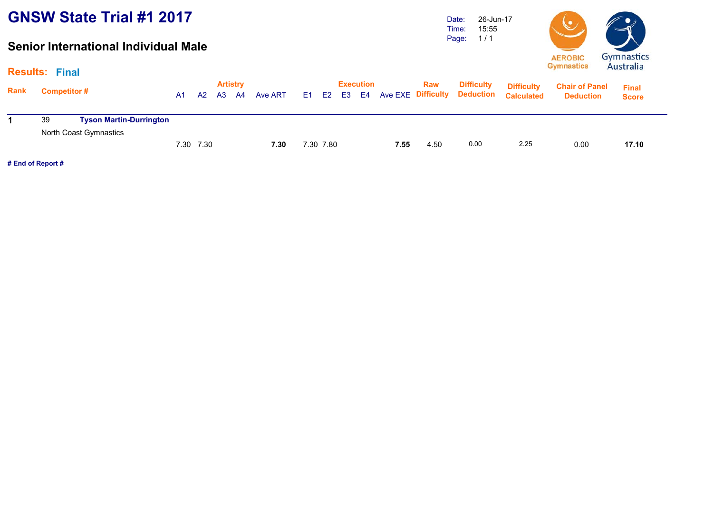#### **Senior International Individual Male**

Date: Time: Page: 26-Jun-17 15:55 1 / 1



#### **Results:Final**

|             | RESUILS. FIIIDI                      |    |           |                       |    |         |       |           |                           |      |      |                                                          |                                        |                                           |                              |  |
|-------------|--------------------------------------|----|-----------|-----------------------|----|---------|-------|-----------|---------------------------|------|------|----------------------------------------------------------|----------------------------------------|-------------------------------------------|------------------------------|--|
| <b>Rank</b> | <b>Competitor #</b>                  | A1 | A2        | <b>Artistry</b><br>A3 | A4 | Ave ART | E1 E2 |           | <b>Execution</b><br>E3 E4 |      | Raw  | <b>Difficulty</b><br><b>Ave EXE Difficulty Deduction</b> | <b>Difficulty</b><br><b>Calculated</b> | <b>Chair of Panel</b><br><b>Deduction</b> | <b>Final</b><br><b>Score</b> |  |
|             | 39<br><b>Tyson Martin-Durrington</b> |    |           |                       |    |         |       |           |                           |      |      |                                                          |                                        |                                           |                              |  |
|             | North Coast Gymnastics               |    | 7.30 7.30 |                       |    | 7.30    |       | 7.30 7.80 |                           | 7.55 | 4.50 | 0.00                                                     | 2.25                                   | 0.00                                      | 17.10                        |  |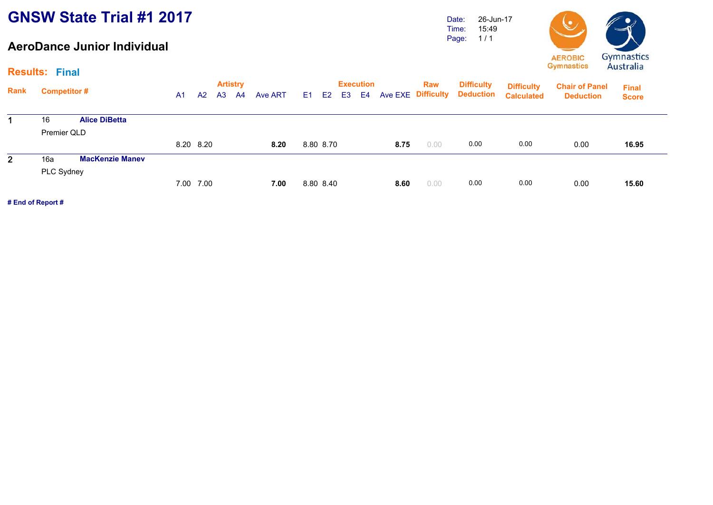#### **AeroDance Junior Individual**

Date: Time: Page: 26-Jun-17 15:49 1 / 1



|              | <b>Results: Final</b> |                        |                |           |                |                       |         |                |           |    |                        |      |                                  |                                       |                                        |                                           |                              |
|--------------|-----------------------|------------------------|----------------|-----------|----------------|-----------------------|---------|----------------|-----------|----|------------------------|------|----------------------------------|---------------------------------------|----------------------------------------|-------------------------------------------|------------------------------|
| <b>Rank</b>  | <b>Competitor#</b>    |                        | A <sub>1</sub> | A2        | A <sub>3</sub> | <b>Artistry</b><br>A4 | Ave ART | E <sub>1</sub> | E2        | E3 | <b>Execution</b><br>E4 |      | <b>Raw</b><br>Ave EXE Difficulty | <b>Difficulty</b><br><b>Deduction</b> | <b>Difficulty</b><br><b>Calculated</b> | <b>Chair of Panel</b><br><b>Deduction</b> | <b>Final</b><br><b>Score</b> |
|              | 16                    | <b>Alice DiBetta</b>   |                |           |                |                       |         |                |           |    |                        |      |                                  |                                       |                                        |                                           |                              |
|              | Premier QLD           |                        |                |           |                |                       |         |                |           |    |                        |      |                                  |                                       |                                        |                                           |                              |
|              |                       |                        |                | 8.20 8.20 |                |                       | 8.20    |                | 8.80 8.70 |    |                        | 8.75 | 0.00                             | 0.00                                  | 0.00                                   | 0.00                                      | 16.95                        |
| $\mathbf{2}$ | 16a                   | <b>MacKenzie Manev</b> |                |           |                |                       |         |                |           |    |                        |      |                                  |                                       |                                        |                                           |                              |
|              | PLC Sydney            |                        |                |           |                |                       |         |                |           |    |                        |      |                                  |                                       |                                        |                                           |                              |
|              |                       |                        | 7.00 7.00      |           |                |                       | 7.00    |                | 8.80 8.40 |    |                        | 8.60 | 0.00                             | 0.00                                  | 0.00                                   | 0.00                                      | 15.60                        |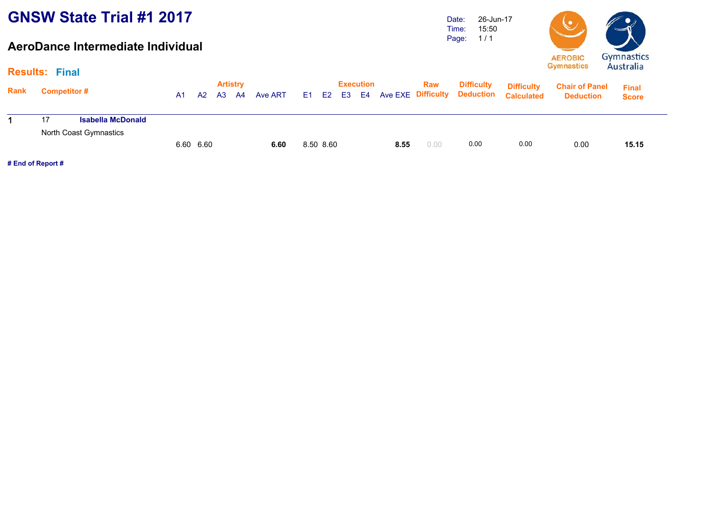#### **AeroDance Intermediate Individual**

Date: Time: Page: 26-Jun-17 15:50 1 / 1



|             | <b>Results: Final</b>                              |           |           |      |                         |         |    |           |          |                  |      |      |                                                          |                                        | Gymnasucs                                 | Australia                    |
|-------------|----------------------------------------------------|-----------|-----------|------|-------------------------|---------|----|-----------|----------|------------------|------|------|----------------------------------------------------------|----------------------------------------|-------------------------------------------|------------------------------|
| <b>Rank</b> | <b>Competitor #</b><br>17                          |           | <b>A2</b> | A3 . | <b>Artistry</b><br>- A4 | Ave ART | E1 |           | E2 E3 E4 | <b>Execution</b> |      | Raw  | <b>Difficulty</b><br><b>Ave EXE Difficulty Deduction</b> | <b>Difficulty</b><br><b>Calculated</b> | <b>Chair of Panel</b><br><b>Deduction</b> | <b>Final</b><br><b>Score</b> |
|             | <b>Isabella McDonald</b><br>North Coast Gymnastics | 6.60 6.60 |           |      |                         | 6.60    |    | 8.50 8.60 |          |                  | 8.55 | 0.00 | 0.00                                                     | 0.00                                   | 0.00                                      | 15.15                        |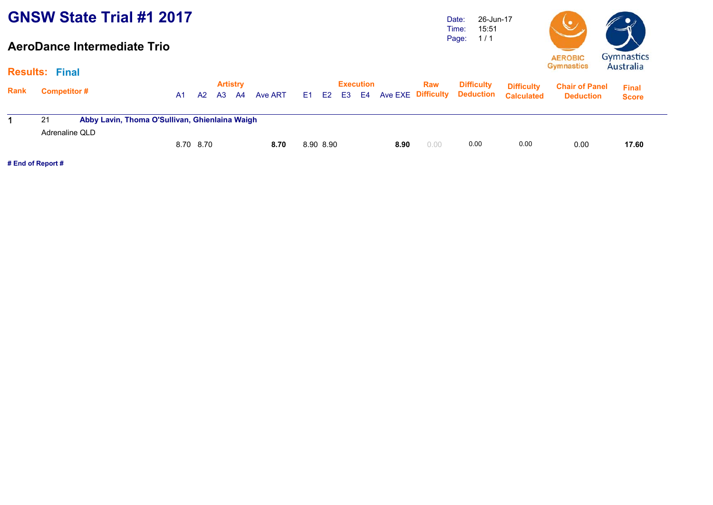#### **AeroDance Intermediate Trio**

Date: Time: Page: 26-Jun-17 15:51 1 / 1



#### **Results:Final**

|             | RESUILS. FIIIAI     |                                                |                |           |                       |    |         |          |           |                  |      |                              |                   |                                                  |                                           |                              |  |
|-------------|---------------------|------------------------------------------------|----------------|-----------|-----------------------|----|---------|----------|-----------|------------------|------|------------------------------|-------------------|--------------------------------------------------|-------------------------------------------|------------------------------|--|
| <b>Rank</b> | <b>Competitor #</b> |                                                | A <sub>1</sub> | A2        | <b>Artistry</b><br>A3 | A4 | Ave ART | E1 E2 E3 |           | <b>Execution</b> |      | Raw<br>E4 Ave EXE Difficulty | <b>Difficulty</b> | <b>Difficulty</b><br><b>Deduction Calculated</b> | <b>Chair of Panel</b><br><b>Deduction</b> | <b>Final</b><br><b>Score</b> |  |
|             | 21                  | Abby Lavin, Thoma O'Sullivan, Ghienlaina Waigh |                |           |                       |    |         |          |           |                  |      |                              |                   |                                                  |                                           |                              |  |
|             | Adrenaline QLD      |                                                |                |           |                       |    |         |          |           |                  |      |                              |                   |                                                  |                                           |                              |  |
|             |                     |                                                |                | 8.70 8.70 |                       |    | 8.70    |          | 8.90 8.90 |                  | 8.90 | 0.00                         | 0.00              | 0.00                                             | 0.00                                      | 17.60                        |  |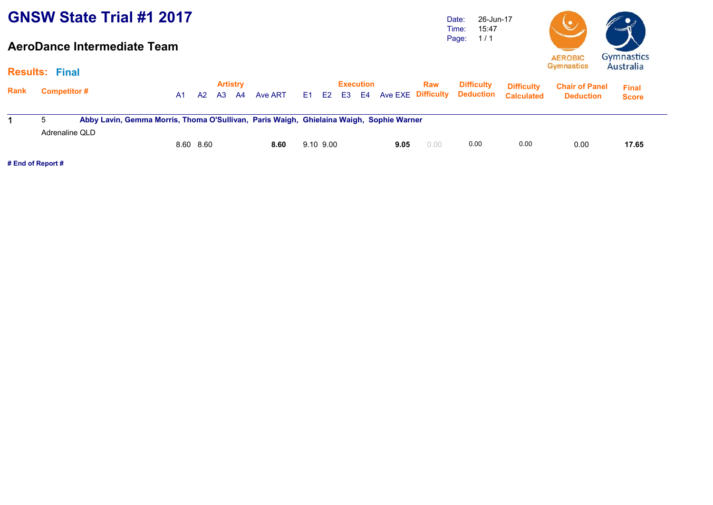#### **AeroDance Intermediate Team**

Date: Time: Page: 26-Jun-17 15:47 1 / 1



#### **Results:Final**

|      | 11001110.111101     |                                                                                         |    |           |                       |      |         |             |  |                  |      |                                         |                                       |                                        |                                           |                              |  |
|------|---------------------|-----------------------------------------------------------------------------------------|----|-----------|-----------------------|------|---------|-------------|--|------------------|------|-----------------------------------------|---------------------------------------|----------------------------------------|-------------------------------------------|------------------------------|--|
| Rank | <b>Competitor #</b> |                                                                                         | A1 | <b>A2</b> | <b>Artistry</b><br>A3 | - A4 | Ave ART | E1 E2 E3 E4 |  | <b>Execution</b> |      | <b>Raw</b><br><b>Ave EXE Difficulty</b> | <b>Difficulty</b><br><b>Deduction</b> | <b>Difficulty</b><br><b>Calculated</b> | <b>Chair of Panel</b><br><b>Deduction</b> | <b>Final</b><br><b>Score</b> |  |
|      |                     | Abby Lavin, Gemma Morris, Thoma O'Sullivan, Paris Waigh, Ghielaina Waigh, Sophie Warner |    |           |                       |      |         |             |  |                  |      |                                         |                                       |                                        |                                           |                              |  |
|      | Adrenaline QLD      |                                                                                         |    |           |                       |      |         |             |  |                  |      |                                         |                                       |                                        |                                           |                              |  |
|      |                     |                                                                                         |    | 8.60 8.60 |                       |      | 8.60    | 9.10 9.00   |  |                  | 9.05 | 0.00                                    | 0.00                                  | 0.00                                   | 0.00                                      | 17.65                        |  |
|      |                     |                                                                                         |    |           |                       |      |         |             |  |                  |      |                                         |                                       |                                        |                                           |                              |  |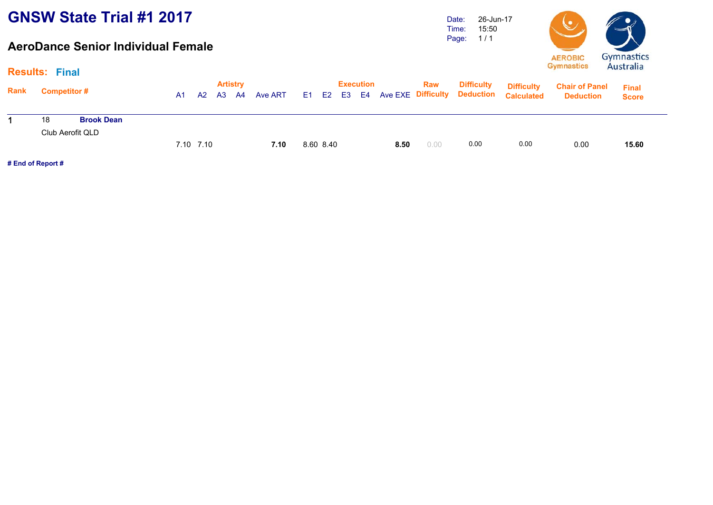#### **AeroDance Senior Individual Female**

Date: Time: Page: 1 / 1 26-Jun-17 15:50



|      | <b>Results: Final</b> |                   |           |          |                 |         |           |                  |      |      |                                                               |                                        | Gymnasucs                                 | Australia                    |
|------|-----------------------|-------------------|-----------|----------|-----------------|---------|-----------|------------------|------|------|---------------------------------------------------------------|----------------------------------------|-------------------------------------------|------------------------------|
| Rank | <b>Competitor#</b>    |                   | A1        | A2 A3 A4 | <b>Artistry</b> | Ave ART |           | <b>Execution</b> |      | Raw  | <b>Difficulty</b><br>E1 E2 E3 E4 Ave EXE Difficulty Deduction | <b>Difficulty</b><br><b>Calculated</b> | <b>Chair of Panel</b><br><b>Deduction</b> | <b>Final</b><br><b>Score</b> |
|      | 18                    | <b>Brook Dean</b> |           |          |                 |         |           |                  |      |      |                                                               |                                        |                                           |                              |
|      | Club Aerofit QLD      |                   | 7.10 7.10 |          |                 | 7.10    | 8.60 8.40 |                  | 8.50 | 0.00 | 0.00                                                          | 0.00                                   | 0.00                                      | 15.60                        |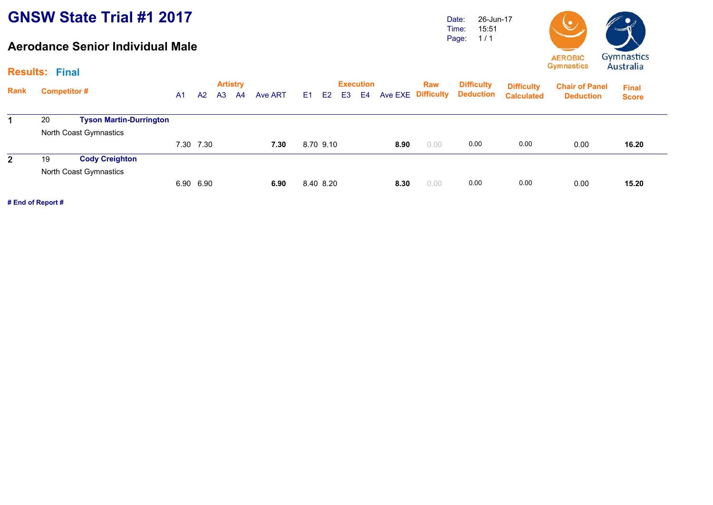#### **Aerodance Senior Individual Male**

Date: Time: Page: 26-Jun-17 15:51 1 / 1



#### **Results:Final**

|                |                                      |                      | <b>Artistry</b> |               |                        | <b>Execution</b> |      | Raw  | <b>Difficulty</b>            | <b>Difficulty</b> | <b>Chair of Panel</b> |                              |
|----------------|--------------------------------------|----------------------|-----------------|---------------|------------------------|------------------|------|------|------------------------------|-------------------|-----------------------|------------------------------|
| Rank           | Competitor #                         | A2<br>A <sub>1</sub> | A <sub>3</sub>  | A4<br>Ave ART | E1 =<br>E <sub>2</sub> | E3 E4            |      |      | Ave EXE Difficulty Deduction | <b>Calculated</b> | <b>Deduction</b>      | <b>Final</b><br><b>Score</b> |
|                | <b>Tyson Martin-Durrington</b><br>20 |                      |                 |               |                        |                  |      |      |                              |                   |                       |                              |
|                | North Coast Gymnastics               |                      |                 |               |                        |                  |      |      |                              |                   |                       |                              |
|                |                                      | 7.30 7.30            |                 | 7.30          | 8.70 9.10              |                  | 8.90 | 0.00 | 0.00                         | 0.00              | 0.00                  | 16.20                        |
| 2 <sup>1</sup> | <b>Cody Creighton</b><br>19          |                      |                 |               |                        |                  |      |      |                              |                   |                       |                              |
|                | North Coast Gymnastics               |                      |                 |               |                        |                  |      |      |                              |                   |                       |                              |
|                |                                      | 6.90 6.90            |                 | 6.90          | 8.40 8.20              |                  | 8.30 | 0.00 | 0.00                         | 0.00              | 0.00                  | 15.20                        |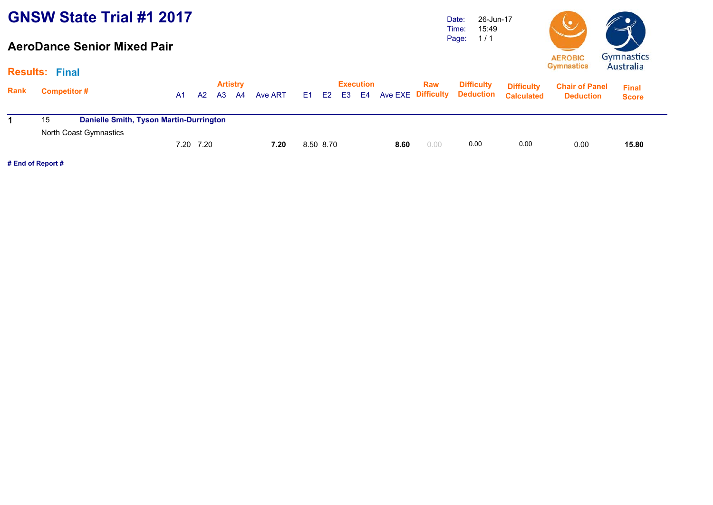#### **AeroDance Senior Mixed Pair**

Date: Time: Page: 26-Jun-17 15:49 1 / 1



#### **Results:Final**

|      | RESUILS. FIIIAI     |                                                |    |           |                             |         |           |                  |      |                                     |                   |                                                  |                                           |                              |  |
|------|---------------------|------------------------------------------------|----|-----------|-----------------------------|---------|-----------|------------------|------|-------------------------------------|-------------------|--------------------------------------------------|-------------------------------------------|------------------------------|--|
| Rank | <b>Competitor #</b> |                                                | A1 | <b>A2</b> | <b>Artistry</b><br>A3<br>A4 | Ave ART | E1 E2 E3  | <b>Execution</b> |      | <b>Raw</b><br>E4 Ave EXE Difficulty | <b>Difficulty</b> | <b>Difficulty</b><br><b>Deduction Calculated</b> | <b>Chair of Panel</b><br><b>Deduction</b> | <b>Final</b><br><b>Score</b> |  |
|      | 15                  | <b>Danielle Smith, Tyson Martin-Durrington</b> |    |           |                             |         |           |                  |      |                                     |                   |                                                  |                                           |                              |  |
|      |                     | North Coast Gymnastics                         |    | 7.20 7.20 |                             | 7.20    | 8.50 8.70 |                  | 8.60 | 0.00                                | 0.00              | 0.00                                             | 0.00                                      | 15.80                        |  |